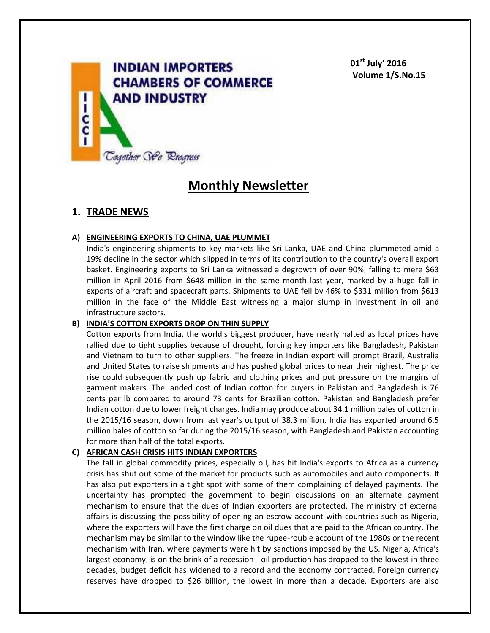

**01st July' 2016 Volume 1/S.No.15**

# **Monthly Newsletter**

# **1. TRADE NEWS**

## **A) ENGINEERING EXPORTS TO CHINA, UAE PLUMMET**

India's engineering shipments to key markets like Sri Lanka, UAE and China plummeted amid a 19% decline in the sector which slipped in terms of its contribution to the country's overall export basket. Engineering exports to Sri Lanka witnessed a degrowth of over 90%, falling to mere \$63 million in April 2016 from \$648 million in the same month last year, marked by a huge fall in exports of aircraft and spacecraft parts. Shipments to UAE fell by 46% to \$331 million from \$613 million in the face of the Middle East witnessing a major slump in investment in oil and infrastructure sectors.

## **B) INDIA'S COTTON EXPORTS DROP ON THIN SUPPLY**

Cotton exports from India, the world's biggest producer, have nearly halted as local prices have rallied due to tight supplies because of drought, forcing key importers like Bangladesh, Pakistan and Vietnam to turn to other suppliers. The freeze in Indian export will prompt Brazil, Australia and United States to raise shipments and has pushed global prices to near their highest. The price rise could subsequently push up fabric and clothing prices and put pressure on the margins of garment makers. The landed cost of Indian cotton for buyers in Pakistan and Bangladesh is 76 cents per lb compared to around 73 cents for Brazilian cotton. Pakistan and Bangladesh prefer Indian cotton due to lower freight charges. India may produce about 34.1 million bales of cotton in the 2015/16 season, down from last year's output of 38.3 million. India has exported around 6.5 million bales of cotton so far during the 2015/16 season, with Bangladesh and Pakistan accounting for more than half of the total exports.

# **C) AFRICAN CASH CRISIS HITS INDIAN EXPORTERS**

The fall in global commodity prices, especially oil, has hit India's exports to Africa as a currency crisis has shut out some of the market for products such as automobiles and auto components. It has also put exporters in a tight spot with some of them complaining of delayed payments. The uncertainty has prompted the government to begin discussions on an alternate payment mechanism to ensure that the dues of Indian exporters are protected. The ministry of external affairs is discussing the possibility of opening an escrow account with countries such as Nigeria, where the exporters will have the first charge on oil dues that are paid to the African country. The mechanism may be similar to the window like the rupee-rouble account of the 1980s or the recent mechanism with Iran, where payments were hit by sanctions imposed by the US. Nigeria, Africa's largest economy, is on the brink of a recession - oil production has dropped to the lowest in three decades, budget deficit has widened to a record and the economy contracted. Foreign currency reserves have dropped to \$26 billion, the lowest in more than a decade. Exporters are also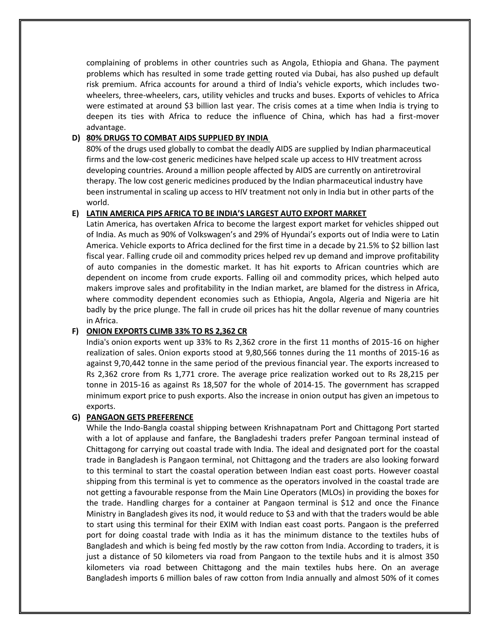complaining of problems in other countries such as Angola, Ethiopia and Ghana. The payment problems which has resulted in some trade getting routed via Dubai, has also pushed up default risk premium. Africa accounts for around a third of India's vehicle exports, which includes twowheelers, three-wheelers, cars, utility vehicles and trucks and buses. Exports of vehicles to Africa were estimated at around \$3 billion last year. The crisis comes at a time when India is trying to deepen its ties with Africa to reduce the influence of China, which has had a first-mover advantage.

## **D) 80% DRUGS TO COMBAT AIDS SUPPLIED BY INDIA**

80% of the drugs used globally to combat the deadly AIDS are supplied by Indian pharmaceutical firms and the low-cost generic medicines have helped scale up access to HIV treatment across developing countries. Around a million people affected by AIDS are currently on antiretroviral therapy. The low cost generic medicines produced by the Indian pharmaceutical industry have been instrumental in scaling up access to HIV treatment not only in India but in other parts of the world.

# **E) LATIN AMERICA PIPS AFRICA TO BE INDIA'S LARGEST AUTO EXPORT MARKET**

Latin America, has overtaken Africa to become the largest export market for vehicles shipped out of India. As much as 90% of Volkswagen's and 29% of Hyundai's exports out of India were to Latin America. Vehicle exports to Africa declined for the first time in a decade by 21.5% to \$2 billion last fiscal year. Falling crude oil and commodity prices helped rev up demand and improve profitability of auto companies in the domestic market. It has hit exports to African countries which are dependent on income from crude exports. Falling oil and commodity prices, which helped auto makers improve sales and profitability in the Indian market, are blamed for the distress in Africa, where commodity dependent economies such as Ethiopia, Angola, Algeria and Nigeria are hit badly by the price plunge. The fall in crude oil prices has hit the dollar revenue of many countries in Africa.

## **F) ONION EXPORTS CLIMB 33% TO RS 2,362 CR**

India's onion exports went up 33% to Rs 2,362 crore in the first 11 months of 2015-16 on higher realization of sales. Onion exports stood at 9,80,566 tonnes during the 11 months of 2015-16 as against 9,70,442 tonne in the same period of the previous financial year. The exports increased to Rs 2,362 crore from Rs 1,771 crore. The average price realization worked out to Rs 28,215 per tonne in 2015-16 as against Rs 18,507 for the whole of 2014-15. The government has scrapped minimum export price to push exports. Also the increase in onion output has given an impetous to exports.

## **G) PANGAON GETS PREFERENCE**

While the Indo-Bangla coastal shipping between Krishnapatnam Port and Chittagong Port started with a lot of applause and fanfare, the Bangladeshi traders prefer Pangoan terminal instead of Chittagong for carrying out coastal trade with India. The ideal and designated port for the coastal trade in Bangladesh is Pangaon terminal, not Chittagong and the traders are also looking forward to this terminal to start the coastal operation between Indian east coast ports. However coastal shipping from this terminal is yet to commence as the operators involved in the coastal trade are not getting a favourable response from the Main Line Operators (MLOs) in providing the boxes for the trade. Handling charges for a container at Pangaon terminal is \$12 and once the Finance Ministry in Bangladesh gives its nod, it would reduce to \$3 and with that the traders would be able to start using this terminal for their EXIM with Indian east coast ports. Pangaon is the preferred port for doing coastal trade with India as it has the minimum distance to the textiles hubs of Bangladesh and which is being fed mostly by the raw cotton from India. According to traders, it is just a distance of 50 kilometers via road from Pangaon to the textile hubs and it is almost 350 kilometers via road between Chittagong and the main textiles hubs here. On an average Bangladesh imports 6 million bales of raw cotton from India annually and almost 50% of it comes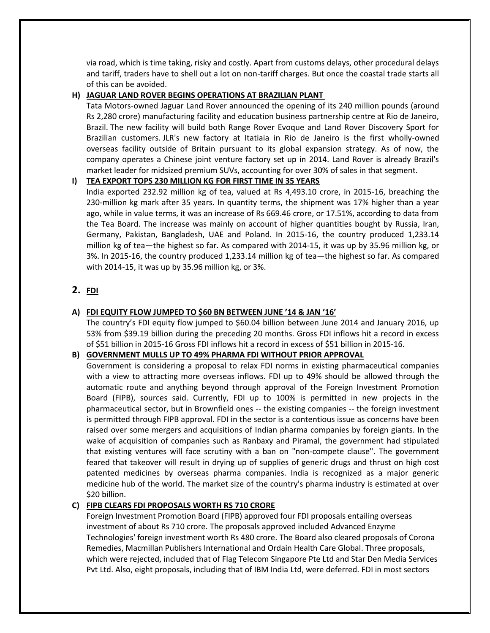via road, which is time taking, risky and costly. Apart from customs delays, other procedural delays and tariff, traders have to shell out a lot on non-tariff charges. But once the coastal trade starts all of this can be avoided.

# **H) JAGUAR LAND ROVER BEGINS OPERATIONS AT BRAZILIAN PLANT**

Tata Motors-owned Jaguar Land Rover announced the opening of its 240 million pounds (around Rs 2,280 crore) manufacturing facility and education business partnership centre at Rio de Janeiro, Brazil. The new facility will build both Range Rover Evoque and Land Rover Discovery Sport for Brazilian customers. JLR's new factory at Itatiaia in Rio de Janeiro is the first wholly-owned overseas facility outside of Britain pursuant to its global expansion strategy. As of now, the company operates a Chinese joint venture factory set up in 2014. Land Rover is already Brazil's market leader for midsized premium SUVs, accounting for over 30% of sales in that segment.

#### **I) TEA EXPORT TOPS 230 MILLION KG FOR FIRST TIME IN 35 YEARS**

India exported 232.92 million kg of tea, valued at Rs 4,493.10 crore, in 2015-16, breaching the 230-million kg mark after 35 years. In quantity terms, the shipment was 17% higher than a year ago, while in value terms, it was an increase of Rs 669.46 crore, or 17.51%, according to data from the Tea Board. The increase was mainly on account of higher quantities bought by Russia, Iran, Germany, Pakistan, Bangladesh, UAE and Poland. In 2015-16, the country produced 1,233.14 million kg of tea—the highest so far. As compared with 2014-15, it was up by 35.96 million kg, or 3%. In 2015-16, the country produced 1,233.14 million kg of tea—the highest so far. As compared with 2014-15, it was up by 35.96 million kg, or 3%.

# **2. FDI**

#### **A) FDI EQUITY FLOW JUMPED TO \$60 BN BETWEEN JUNE '14 & JAN '16'**

The country's FDI equity flow jumped to \$60.04 billion between June 2014 and January 2016, up 53% from \$39.19 billion during the preceding 20 months. Gross FDI inflows hit a record in excess of \$51 billion in 2015-16 Gross FDI inflows hit a record in excess of \$51 billion in 2015-16.

#### **B) GOVERNMENT MULLS UP TO 49% PHARMA FDI WITHOUT PRIOR APPROVAL**

Government is considering a proposal to relax FDI norms in existing pharmaceutical companies with a view to attracting more overseas inflows. FDI up to 49% should be allowed through the automatic route and anything beyond through approval of the Foreign Investment Promotion Board (FIPB), sources said. Currently, FDI up to 100% is permitted in new projects in the pharmaceutical sector, but in Brownfield ones -- the existing companies -- the foreign investment is permitted through FIPB approval. FDI in the sector is a contentious issue as concerns have been raised over some mergers and acquisitions of Indian pharma companies by foreign giants. In the wake of acquisition of companies such as Ranbaxy and Piramal, the government had stipulated that existing ventures will face scrutiny with a ban on "non-compete clause". The government feared that takeover will result in drying up of supplies of generic drugs and thrust on high cost patented medicines by overseas pharma companies. India is recognized as a major generic medicine hub of the world. The market size of the country's pharma industry is estimated at over \$20 billion.

## **C) FIPB CLEARS FDI PROPOSALS WORTH RS 710 CRORE**

Foreign Investment Promotion Board (FIPB) approved four FDI proposals entailing overseas investment of about Rs 710 crore. The proposals approved included Advanced Enzyme Technologies' foreign investment worth Rs 480 crore. The Board also cleared proposals of Corona Remedies, Macmillan Publishers International and Ordain Health Care Global. Three proposals, which were rejected, included that of Flag Telecom Singapore Pte Ltd and Star Den Media Services Pvt Ltd. Also, eight proposals, including that of IBM India Ltd, were deferred. FDI in most sectors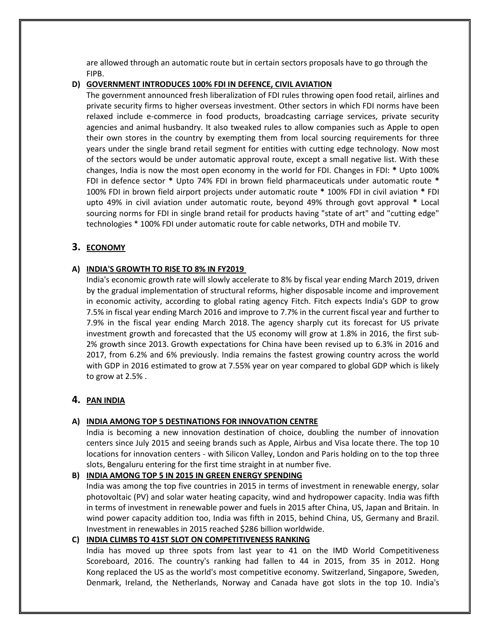are allowed through an automatic route but in certain sectors proposals have to go through the FIPB.

#### **D) GOVERNMENT INTRODUCES 100% FDI IN DEFENCE, CIVIL AVIATION**

The government announced fresh liberalization of FDI rules throwing open food retail, airlines and private security firms to higher overseas investment. Other sectors in which FDI norms have been relaxed include e-commerce in food products, broadcasting carriage services, private security agencies and animal husbandry. It also tweaked rules to allow companies such as Apple to open their own stores in the country by exempting them from local sourcing requirements for three years under the single brand retail segment for entities with cutting edge technology. Now most of the sectors would be under automatic approval route, except a small negative list. With these changes, India is now the most open economy in the world for FDI. Changes in FDI: **\*** Upto 100% FDI in defence sector **\*** Upto 74% FDI in brown field pharmaceuticals under automatic route **\*** 100% FDI in brown field airport projects under automatic route **\*** 100% FDI in civil aviation **\*** FDI upto 49% in civil aviation under automatic route, beyond 49% through govt approval **\*** Local sourcing norms for FDI in single brand retail for products having "state of art" and "cutting edge" technologies \* 100% FDI under automatic route for cable networks, DTH and mobile TV.

# **3. ECONOMY**

## **A) INDIA'S GROWTH TO RISE TO 8% IN FY2019**

India's economic growth rate will slowly accelerate to 8% by fiscal year ending March 2019, driven by the gradual implementation of structural reforms, higher disposable income and improvement in economic activity, according to global rating agency Fitch. Fitch expects India's GDP to grow 7.5% in fiscal year ending March 2016 and improve to 7.7% in the current fiscal year and further to 7.9% in the fiscal year ending March 2018. The agency sharply cut its forecast for US private investment growth and forecasted that the US economy will grow at 1.8% in 2016, the first sub-2% growth since 2013. Growth expectations for China have been revised up to 6.3% in 2016 and 2017, from 6.2% and 6% previously. India remains the fastest growing country across the world with GDP in 2016 estimated to grow at 7.55% year on year compared to global GDP which is likely to grow at 2.5% .

# **4. PAN INDIA**

## **A) INDIA AMONG TOP 5 DESTINATIONS FOR INNOVATION CENTRE**

India is becoming a new innovation destination of choice, doubling the number of innovation centers since July 2015 and seeing brands such as Apple, Airbus and Visa locate there. The top 10 locations for innovation centers - with Silicon Valley, London and Paris holding on to the top three slots, Bengaluru entering for the first time straight in at number five.

#### **B) INDIA AMONG TOP 5 IN 2015 IN GREEN ENERGY SPENDING**

India was among the top five countries in 2015 in terms of investment in renewable energy, solar photovoltaic (PV) and solar water heating capacity, wind and hydropower capacity. India was fifth in terms of investment in renewable power and fuels in 2015 after China, US, Japan and Britain. In wind power capacity addition too, India was fifth in 2015, behind China, US, Germany and Brazil. Investment in renewables in 2015 reached \$286 billion worldwide.

## **C) INDIA CLIMBS TO 41ST SLOT ON COMPETITIVENESS RANKING**

India has moved up three spots from last year to 41 on the IMD World Competitiveness Scoreboard, 2016. The country's ranking had fallen to 44 in 2015, from 35 in 2012. Hong Kong replaced the US as the world's most competitive economy. Switzerland, Singapore, Sweden, Denmark, Ireland, the Netherlands, Norway and Canada have got slots in the top 10. India's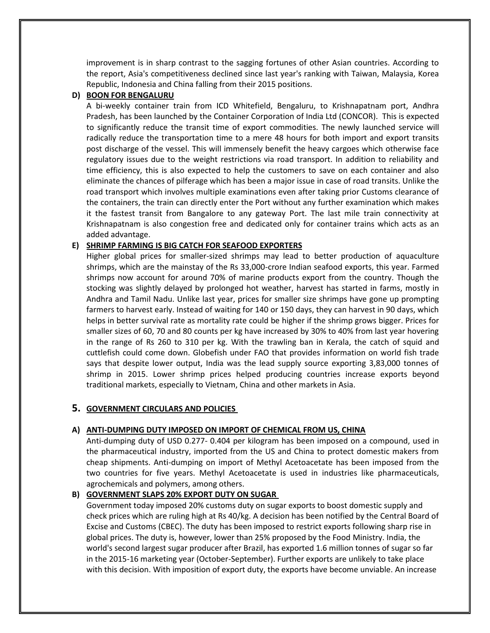improvement is in sharp contrast to the sagging fortunes of other Asian countries. According to the report, Asia's competitiveness declined since last year's ranking with Taiwan, Malaysia, Korea Republic, Indonesia and China falling from their 2015 positions.

#### **D) BOON FOR BENGALURU**

A bi-weekly container train from ICD Whitefield, Bengaluru, to Krishnapatnam port, Andhra Pradesh, has been launched by the Container Corporation of India Ltd (CONCOR). This is expected to significantly reduce the transit time of export commodities. The newly launched service will radically reduce the transportation time to a mere 48 hours for both import and export transits post discharge of the vessel. This will immensely benefit the heavy cargoes which otherwise face regulatory issues due to the weight restrictions via road transport. In addition to reliability and time efficiency, this is also expected to help the customers to save on each container and also eliminate the chances of pilferage which has been a major issue in case of road transits. Unlike the road transport which involves multiple examinations even after taking prior Customs clearance of the containers, the train can directly enter the Port without any further examination which makes it the fastest transit from Bangalore to any gateway Port. The last mile train connectivity at Krishnapatnam is also congestion free and dedicated only for container trains which acts as an added advantage.

## **E) SHRIMP FARMING IS BIG CATCH FOR SEAFOOD EXPORTERS**

Higher global prices for smaller-sized shrimps may lead to better production of aquaculture shrimps, which are the mainstay of the Rs 33,000-crore Indian seafood exports, this year. Farmed shrimps now account for around 70% of marine products export from the country. Though the stocking was slightly delayed by prolonged hot weather, harvest has started in farms, mostly in Andhra and Tamil Nadu. Unlike last year, prices for smaller size shrimps have gone up prompting farmers to harvest early. Instead of waiting for 140 or 150 days, they can harvest in 90 days, which helps in better survival rate as mortality rate could be higher if the shrimp grows bigger. Prices for smaller sizes of 60, 70 and 80 counts per kg have increased by 30% to 40% from last year hovering in the range of Rs 260 to 310 per kg. With the trawling ban in Kerala, the catch of squid and cuttlefish could come down. Globefish under FAO that provides information on world fish trade says that despite lower output, India was the lead supply source exporting 3,83,000 tonnes of shrimp in 2015. Lower shrimp prices helped producing countries increase exports beyond traditional markets, especially to Vietnam, China and other markets in Asia.

## **5. GOVERNMENT CIRCULARS AND POLICIES**

## **A) ANTI-DUMPING DUTY IMPOSED ON IMPORT OF CHEMICAL FROM US, CHINA**

Anti-dumping duty of USD 0.277- 0.404 per kilogram has been imposed on a compound, used in the pharmaceutical industry, imported from the US and China to protect domestic makers from cheap shipments. Anti-dumping on import of Methyl Acetoacetate has been imposed from the two countries for five years. Methyl Acetoacetate is used in industries like pharmaceuticals, agrochemicals and polymers, among others.

## **B) GOVERNMENT SLAPS 20% EXPORT DUTY ON SUGAR**

Government today imposed 20% customs duty on sugar exports to boost domestic supply and check prices which are ruling high at Rs 40/kg. A decision has been notified by the Central Board of Excise and Customs (CBEC). The duty has been imposed to restrict exports following sharp rise in global prices. The duty is, however, lower than 25% proposed by the Food Ministry. India, the world's second largest sugar producer after Brazil, has exported 1.6 million tonnes of sugar so far in the 2015-16 marketing year (October-September). Further exports are unlikely to take place with this decision. With imposition of export duty, the exports have become unviable. An increase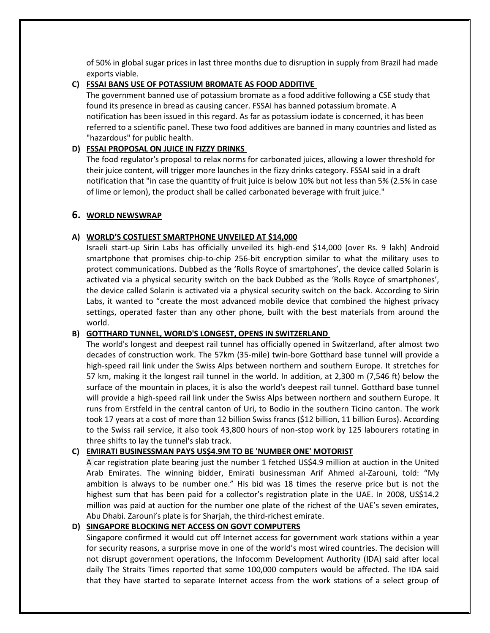of 50% in global sugar prices in last three months due to disruption in supply from Brazil had made exports viable.

#### **C) FSSAI BANS USE OF POTASSIUM BROMATE AS FOOD ADDITIVE**

The government banned use of potassium bromate as a food additive following a CSE study that found its presence in bread as causing cancer. FSSAI has banned potassium bromate. A notification has been issued in this regard. As far as potassium iodate is concerned, it has been referred to a scientific panel. These two food additives are banned in many countries and listed as "hazardous" for public health.

## **D) FSSAI PROPOSAL ON JUICE IN FIZZY DRINKS**

The food regulator's proposal to relax norms for carbonated juices, allowing a lower threshold for their juice content, will trigger more launches in the fizzy drinks category. FSSAI said in a draft notification that "in case the quantity of fruit juice is below 10% but not less than 5% (2.5% in case of lime or lemon), the product shall be called carbonated beverage with fruit juice."

## **6. WORLD NEWSWRAP**

## **A) WORLD'S COSTLIEST SMARTPHONE UNVEILED AT \$14,000**

Israeli start-up Sirin Labs has officially unveiled its high-end \$14,000 (over Rs. 9 lakh) Android smartphone that promises chip-to-chip 256-bit encryption similar to what the military uses to protect communications. Dubbed as the 'Rolls Royce of smartphones', the device called Solarin is activated via a physical security switch on the back Dubbed as the 'Rolls Royce of smartphones', the device called Solarin is activated via a physical security switch on the back. According to Sirin Labs, it wanted to "create the most advanced mobile device that combined the highest privacy settings, operated faster than any other phone, built with the best materials from around the world.

## **B) GOTTHARD TUNNEL, WORLD'S LONGEST, OPENS IN SWITZERLAND**

The world's longest and deepest rail tunnel has officially opened in Switzerland, after almost two decades of construction work. The 57km (35-mile) twin-bore Gotthard base tunnel will provide a high-speed rail link under the Swiss Alps between northern and southern Europe. It stretches for 57 km, making it the longest rail tunnel in the world. In addition, at 2,300 m (7,546 ft) below the surface of the mountain in places, it is also the world's deepest rail tunnel. Gotthard base tunnel will provide a high-speed rail link under the Swiss Alps between northern and southern Europe. It runs from Erstfeld in the central canton of Uri, to Bodio in the southern Ticino canton. The work took 17 years at a cost of more than 12 billion Swiss francs (\$12 billion, 11 billion Euros). According to the Swiss rail service, it also took 43,800 hours of non-stop work by 125 labourers rotating in three shifts to lay the tunnel's slab track.

# **C) EMIRATI BUSINESSMAN PAYS US\$4.9M TO BE 'NUMBER ONE' MOTORIST**

A car registration plate bearing just the number 1 fetched US\$4.9 million at auction in the United Arab Emirates. The winning bidder, Emirati businessman Arif Ahmed al-Zarouni, told: "My ambition is always to be number one." His bid was 18 times the reserve price but is not the highest sum that has been paid for a collector's registration plate in the UAE. In 2008, US\$14.2 million was paid at auction for the number one plate of the richest of the UAE's seven emirates, Abu Dhabi. Zarouni's plate is for Sharjah, the third-richest emirate.

## **D) SINGAPORE BLOCKING NET ACCESS ON GOVT COMPUTERS**

Singapore confirmed it would cut off Internet access for government work stations within a year for security reasons, a surprise move in one of the world's most wired countries. The decision will not disrupt government operations, the Infocomm Development Authority (IDA) said after local daily The Straits Times reported that some 100,000 computers would be affected. The IDA said that they have started to separate Internet access from the work stations of a select group of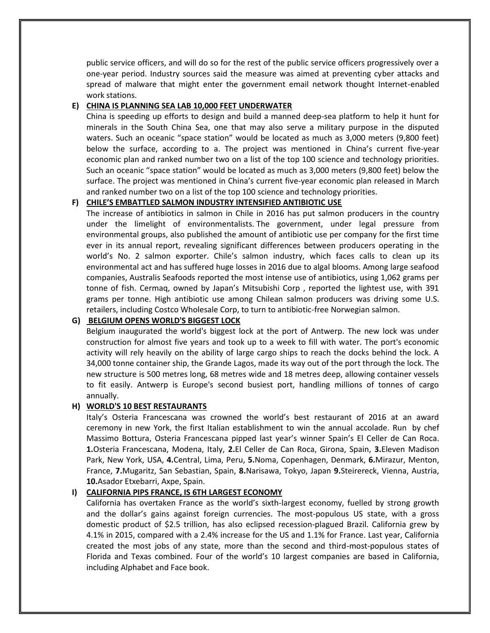public service officers, and will do so for the rest of the public service officers progressively over a one-year period. Industry sources said the measure was aimed at preventing cyber attacks and spread of malware that might enter the government email network thought Internet-enabled work stations.

#### **E) CHINA IS PLANNING SEA LAB 10,000 FEET UNDERWATER**

China is speeding up efforts to design and build a manned deep-sea platform to help it hunt for minerals in the South China Sea, one that may also serve a military purpose in the disputed waters. Such an oceanic "space station" would be located as much as 3,000 meters (9,800 feet) below the surface, according to a. The project was mentioned in China's current five-year economic plan and ranked number two on a list of the top 100 science and technology priorities. Such an oceanic "space station" would be located as much as 3,000 meters (9,800 feet) below the surface. The project was mentioned in China's current five-year economic plan released in March and ranked number two on a list of the top 100 science and technology priorities.

#### **F) CHILE'S EMBATTLED SALMON INDUSTRY INTENSIFIED ANTIBIOTIC USE**

The increase of antibiotics in salmon in Chile in 2016 has put salmon producers in the country under the limelight of environmentalists. The government, under legal pressure from environmental groups, also published the amount of antibiotic use per company for the first time ever in its annual report, revealing significant differences between producers operating in the world's No. 2 salmon exporter. Chile's salmon industry, which faces calls to clean up its environmental act and has suffered huge losses in 2016 due to algal blooms. Among large seafood companies, Australis Seafoods reported the most intense use of antibiotics, using 1,062 grams per tonne of fish. Cermaq, owned by Japan's Mitsubishi Corp , reported the lightest use, with 391 grams per tonne. High antibiotic use among Chilean salmon producers was driving some U.S. retailers, including Costco Wholesale Corp, to turn to antibiotic-free Norwegian salmon.

#### **G) BELGIUM OPENS WORLD'S BIGGEST LOCK**

Belgium inaugurated the world's biggest lock at the port of Antwerp. The new lock was under construction for almost five years and took up to a week to fill with water. The port's economic activity will rely heavily on the ability of large cargo ships to reach the docks behind the lock. A 34,000 tonne container ship, the Grande Lagos, made its way out of the port through the lock. The new structure is 500 metres long, 68 metres wide and 18 metres deep, allowing container vessels to fit easily. Antwerp is Europe's second busiest port, handling millions of tonnes of cargo annually.

#### **H) WORLD'S 10 BEST RESTAURANTS**

Italy's Osteria Francescana was crowned the world's best restaurant of 2016 at an award ceremony in new York, the first Italian establishment to win the annual accolade. Run by chef Massimo Bottura, Osteria Francescana pipped last year's winner Spain's El Celler de Can Roca. **1.**Osteria Francescana, Modena, Italy, **2.**El Celler de Can Roca, Girona, Spain, **3.**Eleven Madison Park, New York, USA, **4.**Central, Lima, Peru, **5.**Noma, Copenhagen, Denmark, **6.**Mirazur, Menton, France, **7.**Mugaritz, San Sebastian, Spain, **8.**Narisawa, Tokyo, Japan **9.**Steirereck, Vienna, Austria, **10.**Asador Etxebarri, Axpe, Spain.

#### **I) CALIFORNIA PIPS FRANCE, IS 6TH LARGEST ECONOMY**

California has overtaken France as the world's sixth-largest economy, fuelled by strong growth and the dollar's gains against foreign currencies. The most-populous US state, with a gross domestic product of \$2.5 trillion, has also eclipsed recession-plagued Brazil. California grew by 4.1% in 2015, compared with a 2.4% increase for the US and 1.1% for France. Last year, California created the most jobs of any state, more than the second and third-most-populous states of Florida and Texas combined. Four of the world's 10 largest companies are based in California, including Alphabet and Face book.